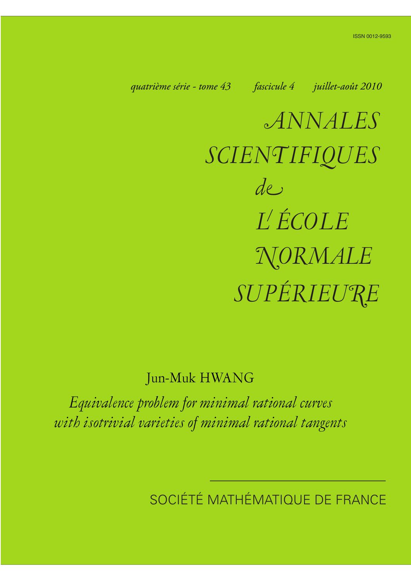*quatrième série - tome 43 fascicule 4 juillet-août 2010*

*ANNALES SCIENTIFIQUES SUPÉRIEURE de L ÉCOLE NORMALE*

# Jun-Muk HWANG

*Equivalence problem for minimal rational curves with isotrivial varieties of minimal rational tangents*

SOCIÉTÉ MATHÉMATIQUE DE FRANCE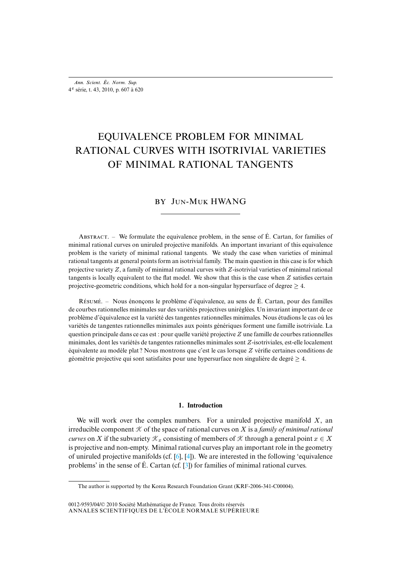## EQUIVALENCE PROBLEM FOR MINIMAL RATIONAL CURVES WITH ISOTRIVIAL VARIETIES OF MINIMAL RATIONAL TANGENTS

### BY JUN-MUK HWANG

ABSTRACT. – We formulate the equivalence problem, in the sense of  $\acute{E}$ . Cartan, for families of minimal rational curves on uniruled projective manifolds. An important invariant of this equivalence problem is the variety of minimal rational tangents. We study the case when varieties of minimal rational tangents at general points form an isotrivial family. The main question in this case is for which projective variety  $Z$ , a family of minimal rational curves with  $Z$ -isotrivial varieties of minimal rational tangents is locally equivalent to the flat model. We show that this is the case when  $Z$  satisfies certain projective-geometric conditions, which hold for a non-singular hypersurface of degree  $\geq 4$ .

R. – Nous énonçons le problème d'équivalence, au sens de É. Cartan, pour des familles de courbes rationnelles minimales sur des variétés projectives uniréglées. Un invariant important de ce problème d'équivalence est la variété des tangentes rationnelles minimales. Nous étudions le cas où les variétés de tangentes rationnelles minimales aux points génériques forment une famille isotriviale. La question principale dans ce cas est : pour quelle variété projective Z une famille de courbes rationnelles minimales, dont les variétés de tangentes rationnelles minimales sont Z-isotriviales, est-elle localement équivalente au modèle plat ? Nous montrons que c'est le cas lorsque Z vérifie certaines conditions de géométrie projective qui sont satisfaites pour une hypersurface non singulière de degré  $\geq 4$ .

#### **1. Introduction**

<span id="page-1-0"></span>We will work over the complex numbers. For a uniruled projective manifold  $X$ , an irreducible component  $K$  of the spac[e o](#page-14-0)f [ra](#page-14-1)tional curves on X is a *family of minimal rational curves* on X if the subvariety  $\mathcal{K}_x$  consist[ing](#page-14-2) of members of  $\mathcal K$  through a general point  $x \in X$ is projective and non-empty. Minimal rational curves play an important role in the geometry of uniruled projective manifolds (cf. [6], [4]). We are interested in the following 'equivalence problems' in the sense of É. Cartan (cf. [3]) for families of minimal rational curves.

ANNALES SCIENTIFIQUES DE L'ÉCOLE NORMALE SUPÉRIEURE 0012-9593/04/© 2010 Société Mathématique de France. Tous droits réservés

The author is supported by the Korea Research Foundation Grant (KRF-2006-341-C00004).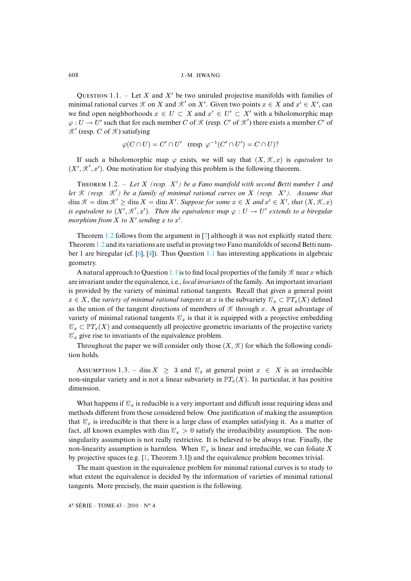QUESTION 1.1. – Let X and X' be two uniruled projective manifolds with families of minimal rational curves  $K$  on X and  $K'$  on X'. Given two points  $x \in X$  and  $x' \in X'$ , can we find open neighborhoods  $x \in U \subset X$  and  $x' \in U' \subset X'$  with a biholomorphic map  $\varphi: U \to U'$  such that for each member C of K (resp. C' of K') there exists a member C' of  $K'$  (resp. C of  $K$ ) satisfying

$$
\varphi(C \cap U) = C' \cap U' \quad (\text{resp. } \varphi^{-1}(C' \cap U') = C \cap U)?
$$

<span id="page-2-0"></span>If such a biholomorphic map  $\varphi$  exists, we will say that  $(X, \mathcal{K}, x)$  is *equivalent* to  $(X', \mathcal{K}', x')$ . One motivation for studying this problem is the following theorem.

THEOREM 1.2. – Let X (resp.  $X'$ ) be a Fano manifold with second Betti number 1 and *let* K *(resp.* K 0 *) be a family of minimal rational curves on* X *(resp.* X0*). Assume that*  $\dim \mathcal{K} = \dim \mathcal{K}' \ge \dim X = \dim X'$ . Suppose for some  $x \in X$  and  $x' \in X'$ , that  $(X, \mathcal{K}, x)$ *is equivalent [to](#page-2-0)*  $(X', \mathcal{K}', x')$ . Th[en](#page-14-3) the equivalence map  $\varphi : U \to U'$  extends to a biregular *morphis[m fro](#page-2-0)m*  $X$  *to*  $X'$  *[se](#page-14-0)[ndi](#page-14-1)ng*  $x$  *to*  $x'$ *.* 

Theorem 1.2 follows from the argument in [7] although it was not explicitly stated there. Theorem 1.2 and its variations are [usefu](#page-1-0)l in proving two Fano manifolds of second Betti number 1 are biregular (cf. [6], [4]). Thus Question 1.1 has interesting applications in algebraic geometry.

A natural approach to Question 1.1 is to find local properties of the family  $K$  near x which are invariant under the equivalence, i.e., *local invariants* of the family. An important invariant is provided by the variety of minimal rational tangents. Recall that given a general point  $x \in X$ , the *variety of minimal rational tangents* at x is the subvariety  $\mathcal{C}_x \subset \mathbb{P}T_x(X)$  defined as the union of the tangent directions of members of  $K$  through x. A great advantage of variety of minimal rational tangents  $\mathcal{C}_x$  is that it is equipped with a projective embedding  $\mathcal{C}_x \subset \mathbb{P}T_x(X)$  and consequently all projective geometric invariants of the projective variety  $\mathcal{C}_x$  give rise to invariants of the equivalence problem.

<span id="page-2-2"></span>Throughout the paper we will consider only those  $(X, \mathcal{K})$  for which the following condition holds.

ASSUMPTION 1.3. – dim  $X \geq 3$  and  $\mathcal{C}_x$  at general point  $x \in X$  is an irreducible non-singular variety and is not a linear subvariety in  $PT_x(X)$ . In particular, it has positive dimension.

What happens if  $\mathcal{C}_x$  is reducible is a very important and difficult issue requiring ideas and methods different from those considered below. One justification of making the assumption that  $\mathcal{C}_r$  is irreducible is that there is a large class of examples satisfying it. As a matter of fact, all known examples [w](#page-14-4)ith dim  $\mathcal{C}_x > 0$  satisfy the irreducibility assumption. The nonsingularity assumption is not really restrictive. It is believed to be always true. Finally, the non-linearity assumption is harmless. When  $\mathcal{C}_x$  is linear and irreducible, we can foliate X by projective spaces (e.g. [1, Theorem 3.1]) and the equivalence problem becomes trivial.

<span id="page-2-1"></span>The main question in the equivalence problem for minimal rational curves is to study to what extent the equivalence is decided by the information of varieties of minimal rational tangents. More precisely, the main question is the following.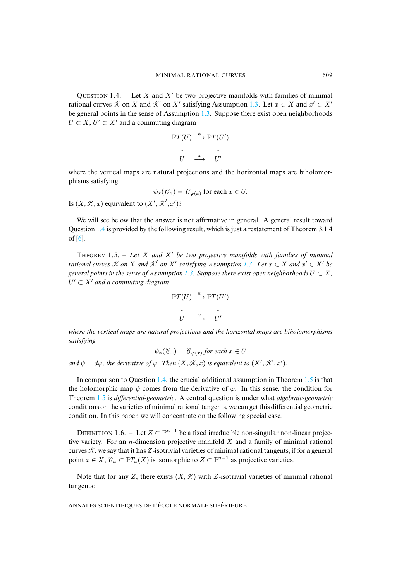QUESTION 1.4. – Let X and X' be two projective manifolds with families of minimal rational curves  $K$  on X and  $K'$  on X' satisfying Assumption 1.3. Let  $x \in X$  and  $x' \in X'$ be general points in the sense of Assumption 1.3. Suppose there exist open neighborhoods  $U \subset X, U' \subset X'$  and a commuting diagram

$$
\mathbb{P}T(U) \stackrel{\psi}{\longrightarrow} \mathbb{P}T(U') \downarrow
$$
  

$$
\downarrow \qquad \qquad \downarrow
$$
  

$$
U \stackrel{\varphi}{\longrightarrow} \qquad U'
$$

where the vertical maps are natural projections and the horizontal maps are biholomorphisms satisfying

$$
\psi_x(\mathcal{C}_x) = \mathcal{C}_{\varphi(x)}
$$
 for each  $x \in U$ .

Is  $(X, \mathcal{K}, x)$  $(X, \mathcal{K}, x)$  $(X, \mathcal{K}, x)$  equivalent to  $(X', \mathcal{K}', x')$ ?

<span id="page-3-1"></span>We will see below that the answer is not affirmative in general. A general result toward Question 1.4 is provided by the following result, which is just [a re](#page-2-2)statement of Theorem 3.1.4 of [6].

THEOREM 1.5. – Let X and X' be two projective manifolds with families of minimal *rational curves*  $K$  *on*  $X$  *and*  $K'$  *on*  $X'$  *satisfying Assumption* 1.3. Let  $x \in X$  *and*  $x' \in X'$  *be general points in the sense of Assumption* 1.3. Suppose there exist open neighborhoods  $U \subset X$ ,  $U' \subset X'$  and a commuting diagram

$$
\mathbb{P}T(U) \xrightarrow{\psi} \mathbb{P}T(U') \downarrow \qquad \downarrow \qquad \downarrow
$$

$$
U \xrightarrow{\varphi} U'
$$

*where the vertical maps are natural projections and the horizontal maps are biholomorphisms satisfying*

 $\psi_x(\mathcal{C}_x) = \mathcal{C}_{\varphi(x)}$  $\psi_x(\mathcal{C}_x) = \mathcal{C}_{\varphi(x)}$  $\psi_x(\mathcal{C}_x) = \mathcal{C}_{\varphi(x)}$  for each  $x \in U$ 

and  $\psi = d\varphi$ , the derivative of  $\varphi$ . Then  $(X, \mathcal{K}, x)$  is equivalent to  $(X', \mathcal{K}', x')$ .

In comparison to Question 1.4, the crucial additional assumption in Theorem 1.5 is that the holomorphic map  $\psi$  comes from the derivative of  $\varphi$ . In this sense, the condition for Theorem 1.5 is *differential-geometric*. A central question is under what *algebraic-geometric* conditions on the varieties of minimal rational tangents, we can get this differential geometric condition. In this paper, we will concentrate on the following special case.

DEFINITION 1.6. – Let  $Z \subset \mathbb{P}^{n-1}$  be a fixed irreducible non-singular non-linear projective variety. For an *n*-dimension projective manifold  $X$  and a family of minimal rational curves  $K$ , we say that it has Z-isotrivial varieties of minimal rational tangents, if for a general point  $x \in X$ ,  $\mathcal{C}_x \subset \mathbb{P}T_x(X)$  is isomorphic to  $Z \subset \mathbb{P}^{n-1}$  as projective varieties.

<span id="page-3-0"></span>Note that for any Z, there exists  $(X, \mathcal{K})$  with Z-isotrivial varieties of minimal rational tangents: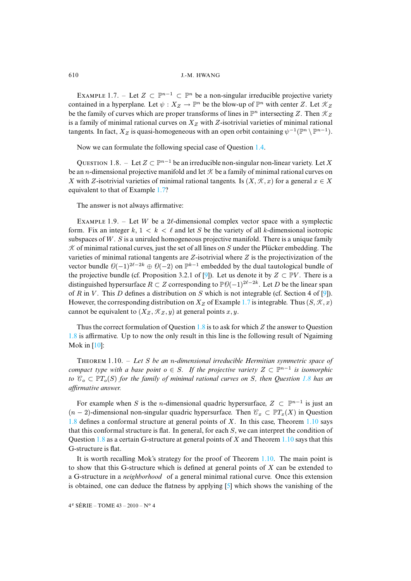EXAMPLE 1.7. – Let  $Z \subset \mathbb{P}^{n-1} \subset \mathbb{P}^n$  be a non-singular irreducible projective variety contained in a hyperplane. Let  $\psi : X_Z \to \mathbb{P}^n$  be the blow-up of  $\mathbb{P}^n$  with center Z. Let  $\mathcal{K}_Z$ be the family of curves which are proper transforms of lines in  $\mathbb{P}^n$  intersecting Z. Then  $\mathcal{K}_Z$ is a family of minimal rational curves on  $X_Z$  with Z-isotrivial v[ariet](#page-2-1)ies of minimal rational tangents. In fact,  $X_Z$  is quasi-homogeneous with an open orbit containing  $\psi^{-1}(\mathbb{P}^n \setminus \mathbb{P}^{n-1})$ .

<span id="page-4-0"></span>Now we can formulate the following special case of Question 1.4.

QUESTION 1.8. – Let  $Z \subset \mathbb{P}^{n-1}$  $Z \subset \mathbb{P}^{n-1}$  $Z \subset \mathbb{P}^{n-1}$  be an irreducible non-singular non-linear variety. Let X be an *n*-dimensional projective manifold and let  $K$  be a family of minimal rational curves on X with Z-isotrivial varieties of minimal rational tangents. Is  $(X, \mathcal{K}, x)$  for a general  $x \in X$ equivalent to that of Example 1.7?

<span id="page-4-2"></span>The answer is not always affirmative:

EXAMPLE 1.9. – Let W be a 2 $\ell$ -dimensional complex vector space with a symplectic form. Fix an integer  $k, 1 \leq k \leq \ell$  and let S be the variety of all k-dimensional isotropic subspaces of W. S is a uniruled homogeneous projective manifold. There is a unique family  $K$  of minimal rational curves, just the set of all [lin](#page-14-5)es on S under the Plücker embedding. The varieties of minimal rational tangents are Z-isotrivial where Z is the projectivization of the vector bundle  $\theta(-1)^{2\ell-2k} \oplus \theta(-2)$  on  $\mathbb{P}^{k-1}$  embedded by the dual tautological bundl[e o](#page-14-5)f the projective bundle (cf. Proposition 3.2.1 of [9]). Let us d[eno](#page-3-0)te it by  $Z \subset \mathbb{P}V$ . There is a distinguished hypersurface  $R \subset Z$  corresponding to  $\mathbb{P}\theta(-1)^{2\ell-2k}$ . Let D be the linear span of R in V. This D defines a distribution on S which is not integrable (cf. Section 4 of [9]). However, the corresponding distribution on  $X_Z$  $X_Z$  of Example 1.7 is integrable. Thus  $(S, \mathcal{K}, x)$ [can](#page-4-0)not [be e](#page-14-6)quivalent to  $(X_Z, \mathcal{K}_Z, y)$  at general points x, y.

<span id="page-4-1"></span>Thus the correct formulation of Question 1.8 is to ask for which Z the answer to Question 1.8 is affirmative. Up to now the only result in this line is the following result of Ngaiming Mok in [10]:

T 1.10. – *Let* S *be an* n*-dimensional irreducible Hermitian symmetric space of compact type with a base point*  $o \in S$ . If the projective variety  $Z \subset \mathbb{P}^{n-1}$  is isomorphic *to*  $\mathcal{C}_o \subset \mathbb{P}T_o(S)$  *for the family of minimal rational curves on S, then Question* 1.8 *has an [affir](#page-4-0)mative answer.*

For example when S is the *n*-dimensional quadric hypersurface,  $Z \subset \mathbb{P}^{n-1}$  is just an  $(n-2)$ -[dime](#page-4-0)nsional non-singular quadric hypersurface. Then  $\mathcal{C}_x \subset \mathbb{P}T_x(X)$  $\mathcal{C}_x \subset \mathbb{P}T_x(X)$  $\mathcal{C}_x \subset \mathbb{P}T_x(X)$  in Question 1.8 defines a conformal structure at general points of X. In this case, Theorem 1.10 says that this conformal structure is flat. In general, for each S, we can [interp](#page-4-1)ret the condition of Question  $1.8$  as a certain G-structure at general points of X and Theorem 1.10 says that this G-structure is flat.

It is worth recalling Mok's strategy for the proof [of](#page-14-7) Theorem 1.10. The main point is to show that this G-structure which is defined at general points of  $X$  can be extended to a G-structure in a *neighborhood* of a general minimal rational curve. Once this extension is obtained, one can deduce the flatness by applying [5] which shows the vanishing of the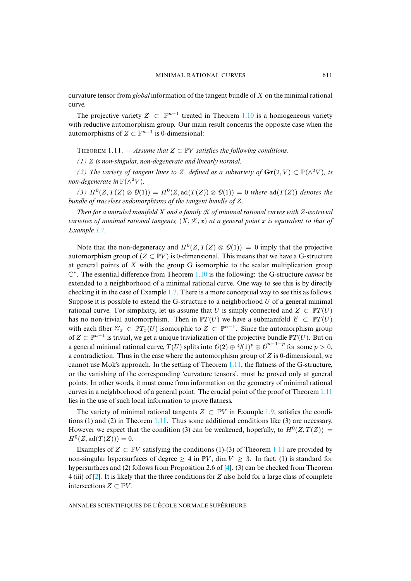curvature tensor from *global* information of the tangent bun[dle of](#page-4-1) X on the minimal rational curve.

<span id="page-5-0"></span>The projective variety  $Z \subset \mathbb{P}^{n-1}$  treated in Theorem 1.10 is a homogeneous variety with reductive automorphism group. Our main result concerns the opposite case when the automorphisms of  $Z \subset \mathbb{P}^{n-1}$  is 0-dimensional:

THEOREM 1.11. – *Assume that*  $Z \subset \mathbb{P}V$  *satisfies the following conditions.* 

*(1)* Z *is non-singular, non-degenerate and linearly normal.*

*(2) The variety of tangent lines to Z, defined as a subvariety of*  $\mathbf{Gr}(2, V) \subset \mathbb{P}(\wedge^2 V)$ *, is non-degenerate in*  $\mathbb{P}(\wedge^2 V)$ *.* 

(3)  $H^0(Z, T(Z) \otimes \mathcal{O}(1)) = H^0(Z, \text{ad}(T(Z)) \otimes \mathcal{O}(1)) = 0$  where  $\text{ad}(T(Z))$  denotes the *bundle of [trac](#page-3-0)eless endomorphisms of the tangent bundle of* Z*.*

*Then for a uniruled manifold* X *and a family* K *of minimal rational curves with* Z*-isotrivial varieties of minimal rational tangents,*  $(X, \mathcal{K}, x)$  *at a general point* x *is equivalent to that of Example 1.7.*

Note that the non-degeneracy and  $H^0(Z, T(Z) \otimes \mathcal{O}(1)) = 0$  $H^0(Z, T(Z) \otimes \mathcal{O}(1)) = 0$  $H^0(Z, T(Z) \otimes \mathcal{O}(1)) = 0$  imply that the projective automorphism group of  $(Z \subset \mathbb{P}V)$  is 0-dimensional. This means that we have a G-structure at general points of  $X$  with the [grou](#page-3-0)p G isomorphic to the scalar multiplication group C ∗ . The essential difference from Theorem 1.10 is the following: the G-structure *cannot* be extended to a neighborhood of a minimal rational curve. One way to see this is by directly checking it in the case of Example 1.7. There is a more conceptual way to see this as follows. Suppose it is possible to extend the G-structure to a neighborhood  $U$  of a general minimal rational curve. For simplicity, let us assume that U is simply connected and  $Z \subset \mathbb{P}T(U)$ has no non-trivial automorphism. Then in  $\mathbb{P}T(U)$  we have a submanifold  $\mathcal{C} \subset \mathbb{P}T(U)$ with each fiber  $\mathcal{C}_x \subset \mathbb{P}T_x(U)$  isomorphic to  $Z \subset \mathbb{P}^{n-1}$ . Since the automorphism group of  $Z \subset \mathbb{P}^{n-1}$  is trivial, we get a unique trivialization of [the pr](#page-5-0)ojective bundle  $\mathbb{P}T(U)$ . But on a general minimal rational curve,  $T(U)$  splits into  $\mathcal{O}(2) \oplus \mathcal{O}(1)^p \oplus \mathcal{O}^{n-1-p}$  for some  $p > 0$ , a contradiction. Thus in the case where the automorphism group of  $Z$  is 0-dimensional, we cannot use Mok's approach. In the setting of Theorem 1.11, the flatness of the G-struc[ture,](#page-5-0) or the vanishing of the corresponding 'curvature tensors', must be proved only at general points. In other words, it must come from information on the geom[etry](#page-4-2) of minimal rational curves in a neighborhood of [a gene](#page-5-0)ral point. The crucial point of the proof of Theorem 1.11 lies in the use of such local information to prove flatness.

The variety of minimal rational tangents  $Z \subset \mathbb{P}V$  in Example 1.9, satisfies the conditions (1) and (2) in Theorem 1.11. Thus some additional conditions [like \(3](#page-5-0)) are necessary. However we expect that the condition (3) can be weakened, hopefully, to  $H^0(Z, T(Z)) =$  $H^0(Z, \text{ad}(T(Z))) = 0.$ 

Exam[pl](#page-14-8)es of  $Z \subset \mathbb{P}V$  satisfying the conditions (1)-(3) of Theorem 1.11 are provided by non-singular hypersurfaces of degree  $\geq 4$  in  $\mathbb{P}V$ , dim  $V \geq 3$ . In fact, (1) is standard for hypersurfaces and (2) follows from Proposition 2.6 of [4]. (3) can be checked from Theorem 4 (iii) of [2]. It is likely that the three conditions for Z also hold for a large class of complete intersections  $Z \subset \mathbb{P}V$ .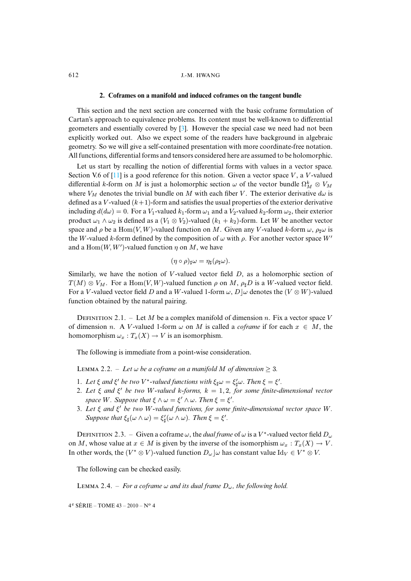#### **2. Coframes on a manifold [and](#page-14-2) induced coframes on the tangent bundle**

This section and the next section are concerned with the basic coframe formulation of Cartan's approach to equivalence problems. Its content must be well-known to differential geometers and essentially covered by [3]. However the special case we need had not been explicitly worked out. Also we expect some of the readers have background in algebraic geometry. So [we w](#page-14-9)ill give a self-contained presentation with more coordinate-free notation. All functions, differential forms and tensors considered here are assumed to be holomorphic.

Let us start by recalling the notion of differential forms with values in a vector space. Section V.6 of [11] is a good reference for this notion. Given a vector space V, a V-valued differential k-form on M is just a holomorphic section  $\omega$  of the vector bundle  $\Omega_M^k \otimes V_M$ where  $V_M$  denotes the trivial bundle on M with each fiber V. The exterior derivative  $d\omega$  is defined as a V-valued  $(k+1)$ -form and satisfies the usual properties of the exterior derivative including  $d(d\omega) = 0$ . For a  $V_1$ -valued  $k_1$ -form  $\omega_1$  and a  $V_2$ -valued  $k_2$ -form  $\omega_2$ , their exterior product  $\omega_1 \wedge \omega_2$  is defined as a  $(V_1 \otimes V_2)$ -valued  $(k_1 + k_2)$ -form. Let W be another vector space and  $\rho$  be a Hom(V, W)-valued function on M. Given any V-valued k-form  $\omega$ ,  $\rho_{\sharp}\omega$  is the W-valued k-form defined by the composition of  $\omega$  with  $\rho$ . For another vector space W' and a  $\text{Hom}(W, W')$ -valued function  $\eta$  on M, we have

$$
(\eta \circ \rho)_{\sharp} \omega = \eta_{\sharp}(\rho_{\sharp} \omega).
$$

Similarly, we have the notion of V-valued vector field  $D$ , as a holomorphic section of  $T(M) \otimes V_M$ . For a Hom $(V, W)$ -valued function  $\rho$  on M,  $\rho_{\sharp}D$  is a W-valued vector field. For a V-valued vector field D and a W-valued 1-form  $\omega$ , D| $\omega$  denotes the  $(V \otimes W)$ -valued function obtained by the natural pairing.

<span id="page-6-0"></span>DEFINITION 2.1. – Let M be a complex manifold of dimension n. Fix a vector space V of dimension n. A V-valued 1-form  $\omega$  on M is called a *coframe* if for each  $x \in M$ , the homomorphism  $\omega_x : T_x(X) \to V$  is an isomorphism.

The following is immediate from a point-wise consideration.

**LEMMA** 2.2. – Let  $\omega$  be a coframe on a manifold M of dimension  $\geq$  3.

- 1. Let  $\xi$  and  $\xi'$  be two V<sup>\*</sup>-valued functions with  $\xi_{\sharp}\omega = \xi'_{\sharp}\omega$ . Then  $\xi = \xi'$ .
- 2. Let  $\xi$  and  $\xi'$  be two W-valued k-forms,  $k = 1, 2$ , for some finite-dimensional vector *space* W. *Suppose that*  $\xi \wedge \omega = \xi' \wedge \omega$ . *Then*  $\xi = \xi'$ .
- 3. *Let* ξ *and* ξ <sup>0</sup> *be two* W*-valued functions, for some finite-dimensional vector space* W*. Suppose that*  $\xi_{\sharp}(\omega \wedge \omega) = \xi'_{\sharp}(\omega \wedge \omega)$ *. Then*  $\xi = \xi'$ *.*

DEFINITION 2.3. – Given a coframe  $\omega$ , the *dual frame* of  $\omega$  is a V<sup>\*</sup>-valued vector field  $D_{\omega}$ on M, whose value at  $x \in M$  is given by the inverse of the isomorphism  $\omega_x : T_x(X) \to V$ . In other words, the  $(V^* \otimes V)$ -valued function  $D_{\omega} \cup \omega$  has constant value Id $_V \in V^* \otimes V$ .

The following can be checked easily.

LEMMA 2.4. – *For a coframe*  $\omega$  *and its dual frame*  $D_{\omega}$ *, the following hold.*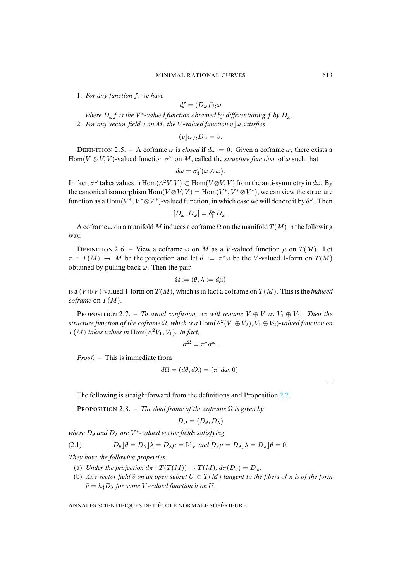1. *For any function* f*, we have*

$$
df=(D_\omega f)_\sharp \omega
$$

*where* Dωf *is the* V ∗ *-valued function obtained by differentiating* f *by* Dω*.* 2. For any vector field v on M, the V-valued function  $v \mid \omega$  satisfies

$$
(v\rfloor\omega)_\sharp D_\omega=v.
$$

DEFINITION 2.5. – A coframe  $\omega$  is *closed* if  $d\omega = 0$ . Given a coframe  $\omega$ , there exists a Hom( $V \otimes V$ ,  $V$ )-valued function  $\sigma^{\omega}$  on M, called the *structure function* of  $\omega$  such that

$$
d\omega = \sigma_{\sharp}^{\omega}(\omega \wedge \omega).
$$

In fact,  $\sigma^{\omega}$  takes values in  $\text{Hom}(\wedge^2 V, V) \subset \text{Hom}(V \otimes V, V)$  from the anti-symmetry in  $d\omega$ . By the canonical isomorphism  $\text{Hom}(V \otimes V, V) = \text{Hom}(V^*, V^* \otimes V^*)$ , we can view the structure function as a  $\text{Hom}(V^*, V^* \otimes V^*)$ -valued function, in which case we will denote it by  $\delta^\omega$ . Then

$$
[D_\omega, D_\omega] = \delta^\omega_\sharp D_\omega.
$$

A coframe  $\omega$  on a manifold M induces a coframe  $\Omega$  on the manifold  $T(M)$  in the following way.

DEFINITION 2.6. – View a coframe  $\omega$  on M as a V-valued function  $\mu$  on  $T(M)$ . Let  $\pi$ :  $T(M) \to M$  be the projection and let  $\theta := \pi^* \omega$  be the V-valued 1-form on  $T(M)$ obtained by pulling back  $\omega$ . Then the pair

$$
\Omega:=(\theta,\lambda:=d\mu)
$$

is a  $(V \oplus V)$ -valued 1-form on  $T(M)$ , which is in fact a coframe on  $T(M)$ . This is the *induced coframe* on  $T(M)$ .

**PROPOSITION** 2.7. – *To avoid confusion, we will rename*  $V \oplus V$  *as*  $V_1 \oplus V_2$ *. Then the* structure function of the coframe  $\Omega$ , which is a  ${\rm Hom}(\wedge^2 (V_1\oplus V_2),V_1\oplus V_2)$ -valued function on  $T(M)$  takes values in  $\text{Hom}(\wedge^2 V_1, V_1)$ . In fact,

$$
\sigma^{\Omega} = \pi^* \sigma^{\omega}.
$$

<span id="page-7-0"></span>*Proof*. – This is immediate from

$$
d\Omega = (d\theta, d\lambda) = (\pi^* d\omega, 0).
$$

 $\Box$ 

The following is straightforward from the definitions and Proposition 2.7.

<span id="page-7-1"></span>PROPOSITION 2.8. – *The dual frame of the coframe*  $\Omega$  *is given by* 

$$
D_\Omega = (D_\theta, D_\lambda)
$$

where  $D_{\theta}$  and  $D_{\lambda}$  are V<sup>\*</sup>-valued vector fields satisfying

(2.1) 
$$
D_{\theta} \rfloor \theta = D_{\lambda} \rfloor \lambda = D_{\lambda} \mu = \text{Id}_{V} \text{ and } D_{\theta} \mu = D_{\theta} \rfloor \lambda = D_{\lambda} \rfloor \theta = 0.
$$

*They have the following properties.*

- (a) *Under the projection*  $d\pi : T(T(M)) \to T(M)$ ,  $d\pi(D_\theta) = D_\omega$ .
- (b) *Any vector field*  $\tilde{v}$  *on an open subset*  $U \subset T(M)$  *tangent to the fibers of*  $\pi$  *is of the form*  $\tilde{v} = h_{\dagger}D_{\lambda}$  *for some V*-valued function *h* on *U*.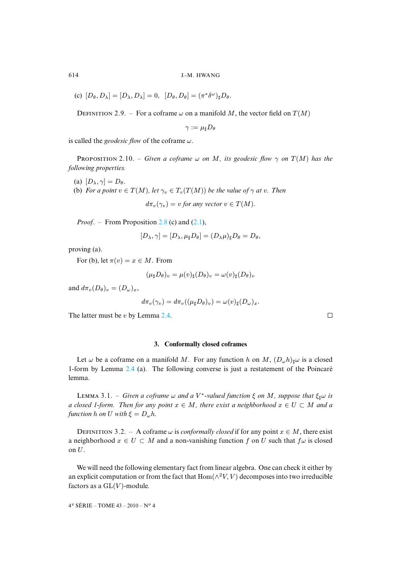(c)  $[D_{\theta}, D_{\lambda}] = [D_{\lambda}, D_{\lambda}] = 0$ ,  $[D_{\theta}, D_{\theta}] = (\pi^* \delta^{\omega})_{\sharp} D_{\theta}$ .

DEFINITION 2.9. – For a coframe  $\omega$  on a manifold M, the vector field on  $T(M)$ 

 $\gamma := \mu_{\sharp} D_{\theta}$ 

<span id="page-8-0"></span>is called the *geodesic flow* of the coframe  $\omega$ .

**PROPOSITION** 2.10. – *Given a coframe*  $\omega$  *on* M, its geodesic flow  $\gamma$  *on*  $T(M)$  *has the following properties.*

- (a)  $[D_{\lambda}, \gamma] = D_{\theta}$ .
- (b) *For a point*  $v \in T(M)$  $v \in T(M)$  $v \in T(M)$ *, let*  $\gamma_v \in T_v(T(M))$  *be the value of*  $\gamma$  *at v. Then*

 $d\pi_v(\gamma_v) = v$  *for any vector*  $v \in T(M)$ .

*Proof.* – From Proposition 2.8 (c) and  $(2.1)$ ,

$$
[D_{\lambda}, \gamma] = [D_{\lambda}, \mu_{\sharp} D_{\theta}] = (D_{\lambda} \mu)_{\sharp} D_{\theta} = D_{\theta},
$$

proving (a).

For (b), let  $\pi(v) = x \in M$ . From

$$
(\mu_{\sharp}D_{\theta})_{v} = \mu(v)_{\sharp}(D_{\theta})_{v} = \omega(v)_{\sharp}(D_{\theta})_{v}
$$

and  $d\pi_v(D_\theta)_v = (D_\omega)_x$ ,

$$
d\pi_v(\gamma_v)=d\pi_v((\mu_\sharp D_\theta)_v)=\omega(v)_\sharp (D_\omega)_x.
$$

The latter must be *v* by Lemma 2.4.

**3. Conformally closed coframes**

Let  $\omega$  be a coframe on a manifold M. For any function h on M,  $(D_{\omega}, h)_{\mu} \omega$  is a closed 1-form by Lemma 2.4 (a). The following converse is just a restatement of the Poincaré lemma.

LEMMA 3.1. – *Given a coframe*  $\omega$  *and a V*<sup>\*</sup>-valued function  $\xi$  on M, suppose that  $\xi_{\sharp}\omega$  is *a closed 1-form. Then for any point*  $x \in M$ , there exist a neighborhood  $x \in U \subset M$  and a *function h on U with*  $\xi = D_{\omega}h$ .

DEFINITION 3.2. – A coframe  $\omega$  is *conformally closed* if for any point  $x \in M$ , there exist a neighborhood  $x \in U \subset M$  and a non-vanishing function f on U such that  $f\omega$  is closed on U.

We will need the following elementary fact from linear algebra. One can check it either by an explicit computation or from the fact that  $\text{Hom}(\wedge^2 V, V)$  decomposes into two irreducible factors as a  $GL(V)$ -module.

4 <sup>e</sup> SÉRIE – TOME 43 – 2010 – N<sup>o</sup> 4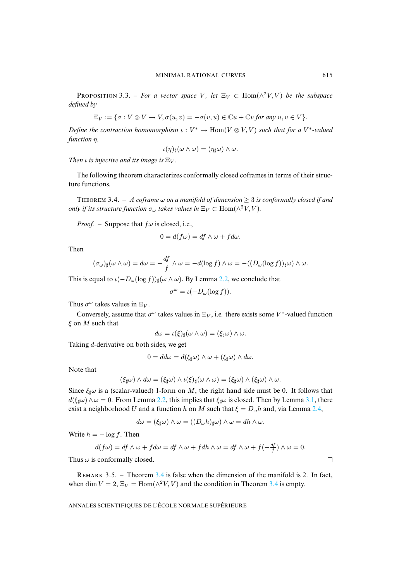**PROPOSITION** 3.3. – *For a vector space* V, let  $\Xi_V \subset \text{Hom}(\wedge^2 V, V)$  *be the subspace defined by*

$$
\Xi_V := \{ \sigma : V \otimes V \to V, \sigma(u, v) = -\sigma(v, u) \in \mathbb{C}u + \mathbb{C}v \text{ for any } u, v \in V \}.
$$

*Define the contraction homomorphism*  $\iota : V^* \to \text{Hom}(V \otimes V, V)$  *such that for a*  $V^*$ -valued *function* η*,*

$$
\iota(\eta)_{\sharp}(\omega \wedge \omega) = (\eta_{\sharp}\omega) \wedge \omega.
$$

<span id="page-9-0"></span>*Then ι is injective and its image is*  $\Xi_V$ *.* 

The following theorem characterizes conformally closed coframes in terms of their structure functions.

THEOREM 3.4. – A coframe  $\omega$  on a manifold of dimension  $\geq 3$  is conformally closed if and *only if its structure function*  $\sigma_{\omega}$  *takes values in*  $\Xi_V \subset \text{Hom}(\wedge^2 V, V)$ *.* 

*Proof.* – Suppose that  $f\omega$  is closed, i.e.,

$$
0 = d(f\omega) = df \wedge \omega + f d\omega.
$$

Then

$$
(\sigma_\omega)_\sharp(\omega\wedge\omega)=d\omega=-\frac{df}{f}\wedge\omega=-d(\log f)\wedge\omega=-((D_\omega(\log f))_\sharp\omega)\wedge\omega.
$$

This is equal to  $\iota(-D_{\omega}(\log f))_{\sharp}(\omega \wedge \omega)$ . By Lemma 2.2, we conclude that

$$
\sigma^{\omega} = \iota(-D_{\omega}(\log f)).
$$

Thus  $\sigma^{\omega}$  takes values in  $\Xi_V$ .

Conversely, assume that  $\sigma^{\omega}$  takes values in  $\Xi_V$ , i.e. there exists some V<sup>\*</sup>-valued function  $\xi$  on M such that

$$
d\omega = \iota(\xi)_{\sharp}(\omega \wedge \omega) = (\xi_{\sharp}\omega) \wedge \omega.
$$

Taking d-derivative on both sides, we get

$$
0 = dd\omega = d(\xi_{\sharp}\omega) \wedge \omega + (\xi_{\sharp}\omega) \wedge d\omega.
$$

Note that

$$
(\xi_{\sharp}\omega)\wedge d\omega = (\xi_{\sharp}\omega)\wedge\iota(\xi)_{\sharp}(\omega\wedge\omega) = (\xi_{\sharp}\omega)\wedge(\xi_{\sharp}\omega)\wedge\omega.
$$

Since  $\xi_{\parallel}\omega$  is a (scalar-valued) 1-form on M, the right hand side must be 0. It follows that  $d(\xi_{\sharp}\omega)\wedge\omega=0$ . From Lemma 2.2, this implies that  $\xi_{\sharp}\omega$  is closed. Then by Lemma 3.1, there exist a neighborhood U and a function h on M such that  $\xi = D_{\omega}h$  and, via Lemma 2.4,

$$
d\omega = (\xi_{\sharp}\omega) \wedge \omega = ((D_{\omega}h)_{\sharp}\omega) \wedge \omega = dh \wedge \omega.
$$

Write  $h = -\log f$ . Then

$$
d(f\omega) = df \wedge \omega + f d\omega = df \wedge \omega + f dh \wedge \omega = df \wedge \omega + f(-\frac{df}{f}) \wedge \omega = 0.
$$

Thus  $\omega$  is conformally closed.

REMARK 3.5. – Theorem  $3.4$  is false when the dimension of the manifold is 2. In fact, when dim  $V = 2$ ,  $\Xi_V = \text{Hom}(\wedge^2 V, V)$  and the condition in Theorem 3.4 is empty.

ANNALES SCIENTIFIQUES DE L'ÉCOLE NORMALE SUPÉRIEURE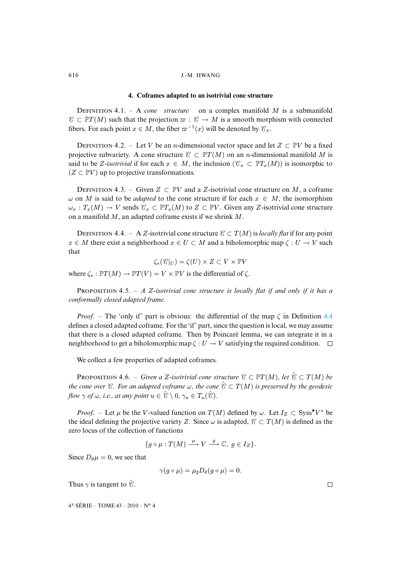#### **4. Coframes adapted to an isotrivial cone structure**

DEFINITION 4.1. – A *cone* structure on a complex manifold M is a submanifold  $\mathcal{C} \subset \mathbb{P}T(M)$  such that the projection  $\varpi : \mathcal{C} \to M$  is a smooth morphism with connected fibers. For each point  $x \in M$ , the fiber  $\varpi^{-1}(x)$  will be denoted by  $\mathcal{C}_x$ .

DEFINITION 4.2. – Let V be an n-dimensional vector space and let  $Z \subset \mathbb{P}V$  be a fixed projective subvariety. A cone structure  $\mathcal{C} \subset \mathbb{P}T(M)$  on an n-dimensional manifold M is said to be Z-*isotrivial* if for each  $x \in M$ , the inclusion  $(\mathcal{C}_x \subset \mathbb{P}T_x(M))$  is isomorphic to  $(Z \subset \mathbb{P}V)$  up to projective transformations.

<span id="page-10-0"></span>DEFINITION 4.3. – Given  $Z \subset \mathbb{P}V$  and a Z-isotrivial cone structure on M, a coframe  $\omega$  on M is said to be *adapted* to the cone structure if for each  $x \in M$ , the isomorphism  $\omega_x : T_x(M) \to V$  sends  $\mathcal{C}_x \subset \mathbb{P}T_x(M)$  to  $Z \subset \mathbb{P}V$ . Given any Z-isotrivial cone structure on a manifold M, an adapted coframe exists if we shrink M.

DEFINITION 4.4. – A Z-isotrivial cone structure  $\mathcal{C} \subset T(M)$  is *locally flat* if for any point  $x \in M$  there exist a neighborhood  $x \in U \subset M$  and a biholomorphic map  $\zeta : U \to V$  such that

 $\zeta_*(\mathcal{C}|_U) = \zeta(U) \times Z \subset V \times \mathbb{P}V$ 

where  $\zeta_* : \mathbb{P}T(M) \to \mathbb{P}T(V) = V \times \mathbb{P}V$  is the differential of  $\zeta$ .

PROPOSITION 4.5. - *A* Z-isotrivial cone structure is locally flat if and only if it h[as a](#page-10-0) *conformally closed adapted frame.*

*Proof.* – The 'only if' part is obvious: the differential of the map  $\zeta$  in Definition 4.4 defines a closed adapted coframe. For the 'if' part, since the question is local, we may assume that there is a closed adapted coframe. Then by Poincaré lemma, we can integrate it in a neighborhood to get a biholomorphic map  $\zeta : U \to V$  satisfying the required condition.  $\square$ 

We collect a few properties of adapted coframes.

**PROPOSITION 4.6.** – *Given a Z*-isotrivial cone structure  $C \subset \mathbb{P}T(M)$ *, let*  $\hat{C} \subset T(M)$  *be the cone over*  $\mathcal{C}$ *. For an adapted coframe*  $\omega$ *, the cone*  $\hat{\mathcal{C}} \subset T(M)$  *is preserved by the geodesic flow*  $\gamma$  *of*  $\omega$ *, i.e., at any point*  $u \in \hat{\mathscr{C}} \setminus 0$ *,*  $\gamma_u \in T_u(\hat{\mathscr{C}})$ *.* 

*Proof.* – Let  $\mu$  be the V-valued function on  $T(M)$  defined by  $\omega$ . Let  $I_Z \subset Sym^{\bullet}V^*$  be the ideal defining the projective variety Z. Since  $\omega$  is adapted,  $\mathcal{C} \subset T(M)$  is defined as the zero locus of the collection of functions

$$
\{g \circ \mu : T(M) \xrightarrow{\mu} V \xrightarrow{g} \mathbb{C}, g \in I_Z\}.
$$

<span id="page-10-1"></span>Since  $D_{\theta} \mu = 0$ , we see that

$$
\gamma(g\circ\mu)=\mu_{\sharp}D_{\theta}(g\circ\mu)=0.
$$

Thus  $\gamma$  is tangent to  $\hat{\mathscr{C}}$ .

4 <sup>e</sup> SÉRIE – TOME 43 – 2010 – N<sup>o</sup> 4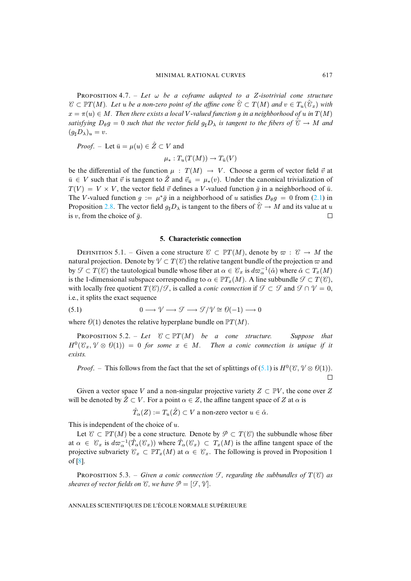PROPOSITION 4.7. – Let  $\omega$  be a coframe adapted to a Z-isotrivial cone structure  $C\subset \mathbb PT(M).$  Let  $u$  be a non-zero point of the affine cone  $\hat C\subset T(M)$  and  $v\in T_u(\hat{\mathcal C}_x)$  with  $x = \pi(u) \in M$ . Then there exists a local V-valued function g in a neighborhood of u in  $T(M)$ *satisfying*  $D_{\theta}g = 0$  *such that the vector field*  $g_{\sharp}D_{\lambda}$  *is tangent to the fibers of*  $\hat{\mathcal{C}} \to M$  *and*  $(g_{\sharp}D_{\lambda})_u = v.$ 

*Proof.* – Let  $\bar{u} = \mu(u) \in \hat{Z} \subset V$  and

$$
\mu_*: T_u(T(M)) \to T_{\bar{u}}(V)
$$

be the differential of the function  $\mu : T(M) \to V$ . Choose a germ of vector fie[ld](#page-7-1)  $\vec{v}$  at  $\bar{u} \in V$  suc[h tha](#page-7-0)t  $\bar{v}$  is tangent to  $\hat{Z}$  and  $\bar{v}_{\bar{u}} = \mu_*(v)$ . Under the canonical trivialization of  $T(V) = V \times V$ , the vector field  $\vec{v}$  defines a V-valued function  $\vec{g}$  in a neighborhood of  $\vec{u}$ . The V-valued function  $g := \mu^* \bar{g}$  in a neighborhood of u satisfies  $D_\theta g = 0$  from (2.1) in Proposition 2.8. The vector field  $g_{\sharp}D_{\lambda}$  is tangent to the fibers of  $\hat{\mathcal{C}} \to M$  and its value at u is v, from the choice of  $\bar{g}$ .  $\Box$ 

#### <span id="page-11-0"></span>**5. Characteristic connection**

DEFINITION 5.1. – Given a cone structure  $C \subset \mathbb{P}T(M)$ , denote by  $\varpi : C \to M$  the natural projection. Denote by  $\mathcal{V} \subset T(\mathcal{C})$  the relative tangent bundle of the projection  $\varpi$  and by  $\mathcal{T} \subset T(\mathcal{C})$  the tautological bundle whose fiber at  $\alpha \in \mathcal{C}_x$  is  $d\varpi_\alpha^{-1}(\hat{\alpha})$  where  $\hat{\alpha} \subset T_x(M)$ is the 1-dimensional subspace corresponding to  $\alpha \in \mathbb{P}T_x(M)$ . A line subbundle  $\mathcal{F} \subset T(\mathcal{C})$ , with locally free quotient  $T(\mathcal{C})/\mathcal{F}$ , is called a *conic connection* if  $\mathcal{F} \subset \mathcal{F}$  and  $\mathcal{F} \cap \mathcal{V} = 0$ , i.e., it splits the exact sequence

<span id="page-11-3"></span>(5.1) 
$$
0 \longrightarrow \mathcal{V} \longrightarrow \mathcal{I} \longrightarrow \mathcal{I}/\mathcal{V} \cong \mathcal{O}(-1) \longrightarrow 0
$$

where  $\mathcal{O}(1)$  denotes the relative hyperplane bundle on  $\mathbb{P}T(M)$ .

**PROPOSITION** 5.2. – Let  $C \subseteq \mathbb{P}T(M)$  be a cone structure. Suppose that  $H^0(\mathcal{C}_x, \mathcal{V} \otimes \mathcal{O}(1)) = 0$  for some  $x \in M$ . Then a conic c[onne](#page-11-0)ction is unique if it *exists.*

*Proof.* – This follows from the fact that the set of splittings of  $(5.1)$  is  $H^0(\mathcal{C}, \mathcal{V} \otimes \mathcal{O}(1))$ .  $\Box$ 

Given a vector space V and a non-singular projective variety  $Z \subset \mathbb{P}V$ , the cone over Z will be denoted by  $\hat{Z} \subset V$ . For a point  $\alpha \in Z$ , the affine tangent space of Z at  $\alpha$  is

 $\hat T_{\alpha}(Z) := T_u(\hat Z) \subset V$  a non-zero vector  $u \in \hat \alpha.$ 

This is independent of the choice of u.

<span id="page-11-2"></span>[Le](#page-14-10)t  $\mathcal{C} \subset \mathbb{P}T(M)$  be a cone structure. Denote by  $\mathcal{P} \subset T(\mathcal{C})$  the subbundle whose fiber at  $\alpha \in \mathcal{C}_x$  is  $d\varpi_\alpha^{-1}(\hat{T}_\alpha(\mathcal{C}_x))$  where  $\hat{T}_\alpha(\mathcal{C}_x) \subset T_x(M)$  is the affine tangent space of the projective subvariety  $\mathcal{C}_x \subset \mathbb{P}T_x(M)$  at  $\alpha \in \mathcal{C}_x$ . The following is proved in Proposition 1 of [8].

<span id="page-11-1"></span>PROPOSITION 5.3. – *Given a conic connection*  $\mathcal{F}$ *, regarding the subbundles of*  $T(\mathcal{C})$  *as sheaves of vector fields on*  $\mathcal{C}$ *, we have*  $\mathcal{P} = [\mathcal{F}, \mathcal{V}]$ *.*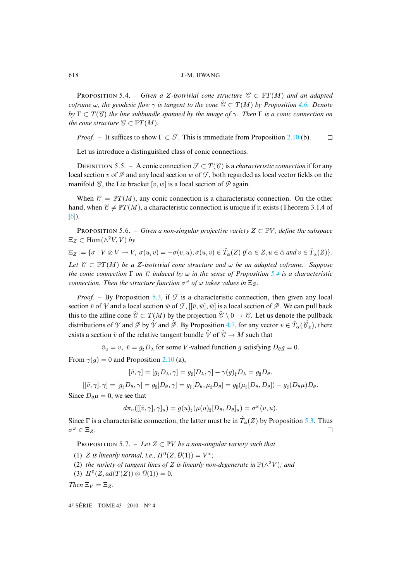**PROPOSITION** 5.4. – *Given a Z-isotrivial cone structure*  $C \subset \mathbb{P}T(M)$  *and an adapted coframe*  $\omega$ , the geodesic flow  $\gamma$  is tangent to the cone  $\mathscr{C} \subset T(M)$  by Proposition 4.6. Denote  $b\mathbf{v} \Gamma \subset T(\mathcal{C})$  *the line subbundle spanned by the image of*  $\gamma$ *. Then*  $\Gamma$  *is a co[nic co](#page-8-0)nnection on the cone structure*  $C \subset \mathbb{P}T(M)$ *.* 

*Proof.* – It suffices to show  $\Gamma \subset \mathcal{T}$ . This is immediate from Proposition 2.10 (b).  $\Box$ 

Let us introduce a distinguished class of conic connections.

DEFINITION 5.5. – A conic connection  $\mathcal{F} \subset T(\mathcal{C})$  is a *characteristic connection* if for any local section v of  $\mathcal P$  and any local section w of  $\mathcal F$ , both regarded as local vector fields on the [ma](#page-14-0)nifold  $\mathcal C$ , the Lie bracket  $[v, w]$  is a local section of  $\mathcal P$  again.

<span id="page-12-0"></span>When  $\mathcal{C} = \mathbb{P}T(M)$ , any conic connection is a characteristic connection. On the other hand, when  $\mathcal{C} \neq \mathbb{P}T(M)$ , a characteristic connection is unique if it exists (Theorem 3.1.4 of [6]).

**PROPOSITION** 5.6. – *Given a non-singular projective variety*  $Z \subset \mathbb{P}V$ *, define the subspace*  $\Xi_Z \subset \text{Hom}(\wedge^2 V, V)$  by

 $\Xi_Z := \{ \sigma : V \otimes V \to V, \ \sigma(u, v) = -\sigma(v, u), \sigma(u, v) \in \hat{T}_\alpha(Z) \text{ if } \alpha \in Z, u \in \hat{\alpha} \text{ and } v \in \hat{T}_\alpha(Z) \}.$ 

*Let*  $C \subset \mathbb{P}T(M)$  *be a Z-isotrivial cone structure and*  $\omega$  *be an adapted coframe. Suppose the conic connection*  $\Gamma$  *on*  $\mathcal C$  *[indu](#page-11-2)ced by*  $\omega$  *in the sense of Proposition* 5.4 *is a characteristic connection. Then the structure function*  $\sigma^{\omega}$  *of*  $\omega$  *takes values in*  $\Xi$ <sub>Z</sub>.

*Proof.* – By Proposition 5.3, if  $\mathcal{F}$  is a characteri[stic](#page-10-1) connection, then given any local section  $\tilde{v}$  of  $\gamma$  and a local section  $\tilde{w}$  of  $\mathcal{F}$ ,  $[\tilde{v}, \tilde{w}], \tilde{w}$  is a local section of  $\varphi$ . We can pull back this to the affine cone  $\hat{\mathcal{C}} \subset T(M)$  by the projection  $\hat{\mathcal{C}} \setminus 0 \to \mathcal{C}$ . Let us denote the pullback distributions of  $\mathcal V$  and  $\hat{\mathcal P}$  by  $\hat{\mathcal V}$  and  $\hat{\mathcal P}$ . By Proposition 4.7, for any vector  $v\in\hat{T}_\alpha(\hat{\mathcal C}_x)$ , there exists a section  $\tilde{v}$  of the relative [tange](#page-8-0)nt bundle  $\hat{V}$  of  $\hat{\mathcal{C}} \to M$  such that

 $\tilde{v}_u = v$ ,  $\tilde{v} = g_\sharp D_\lambda$  for some V-valued function g satisfying  $D_\theta g = 0$ .

From  $\gamma(q) = 0$  and Proposition 2.10 (a),

$$
[\tilde{v}, \gamma] = [g_{\sharp} D_{\lambda}, \gamma] = g_{\sharp} [D_{\lambda}, \gamma] - \gamma(g)_{\sharp} D_{\lambda} = g_{\sharp} D_{\theta}.
$$

 $[[\tilde{v}, \gamma], \gamma] = [g_{\sharp}D_{\theta}, \gamma] = g_{\sharp}[D_{\theta}, \gamma] = g_{\sharp}[D_{\theta}, \mu_{\sharp}D_{\theta}] = g_{\sharp}(\mu_{\sharp}[D_{\theta}, D_{\theta}]) + g_{\sharp}(D_{\theta}\mu)D_{\theta}.$ 

Since  $D_{\theta} \mu = 0$ , we see that

$$
d\pi_u([[ \tilde{v}, \gamma], \gamma]_u) = g(u)_{\sharp}(\mu(u)_{\sharp} [D_{\theta}, D_{\theta}]_u) = \sigma^{\omega}(v, u).
$$

<span id="page-12-1"></span>Since  $\Gamma$  is a characteristic connection, the latter must be in  $\hat{T}_{\alpha}(Z)$  by Proposition 5.3. Thus  $\sigma^{\omega} \in \Xi_Z$ .  $\Box$ 

PROPOSITION 5.7. – Let  $Z \subset \mathbb{P}V$  *be a non-singular variety such that* 

- (1) Z is linearly normal, i.e.,  $H^0(Z, \mathcal{O}(1)) = V^*$ ;
- (2) *the variety of tangent lines of Z is linearly non-degenerate in*  $\mathbb{P}(\wedge^2 V)$ *; and*
- (3)  $H^0(Z, ad(T(Z)) \otimes \mathcal{O}(1)) = 0.$

*Then*  $\Xi_V = \Xi_Z$ .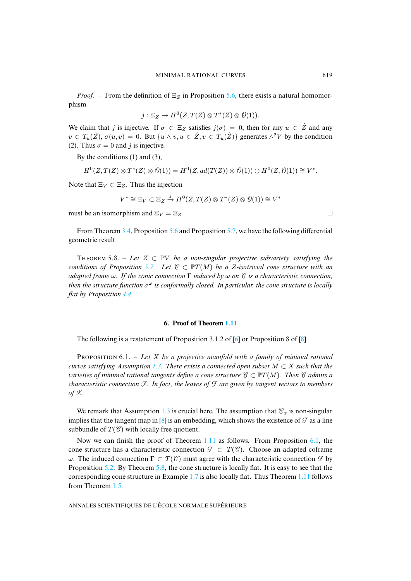*Proof.* – From the definition of  $\Xi$ <sub>Z</sub> in Proposition 5.6, there exists a natural homomorphism

$$
j: \Xi_Z \to H^0(Z, T(Z) \otimes T^*(Z) \otimes \mathcal{O}(1)).
$$

We claim that j is injective. If  $\sigma \in \Xi$  g satisfies  $j(\sigma) = 0$ , then for any  $u \in \hat{Z}$  and any  $v \in T_u(\hat{Z})$ ,  $\sigma(u, v) = 0$ . But  $\{u \wedge v, u \in \hat{Z}, v \in T_u(\hat{Z})\}$  generates  $\wedge^2 V$  by the condition (2). Thus  $\sigma = 0$  and j is injective.

By the conditions (1) and (3),

$$
H^0(Z, T(Z) \otimes T^*(Z) \otimes \mathcal{O}(1)) = H^0(Z, ad(T(Z)) \otimes \mathcal{O}(1)) \oplus H^0(Z, \mathcal{O}(1)) \cong V^*.
$$

Note that  $\Xi_V \subset \Xi_Z$ . Thus the injection

$$
V^* \cong \Xi_V \subset \Xi_Z \stackrel{j}{\to} H^0(Z, T(Z) \otimes T^*(Z) \otimes \mathcal{O}(1)) \cong V^*
$$

<span id="page-13-1"></span>must be an isomorphism and  $\Xi_V = \Xi_Z$ .

From Theorem 3.4, Proposition 5.6 and Proposition 5.7, we have the following differential geometric result.

THEOREM 5.8. – Let  $Z \subset \mathbb{P}V$  be a non-singular projective subvariety satisfying the *conditions of Pro[posit](#page-10-0)ion* 5.7. Let  $C \subseteq \mathbb{P}T(M)$  be a Z-isotrivial cone structure with an *adapted frame* ω*. If the conic connection* Γ *induced by* ω *on* C *is a characteristic connection, then the structure function* σ <sup>ω</sup> *is conformally closed. In particular, the cone structure is locally flat by Proposition 4.4.*

#### **6. Proof of Theorem 1.11**

<span id="page-13-0"></span>The following is a restate[men](#page-2-2)t of Proposition 3.1.2 of [6] or Proposition 8 of [8].

PROPOSITION 6.1. – Let X be a projective manifold with a family of minimal rational *curves satisfying Assumption 1.3. There exists a connected open subset* M ⊂ X *such that the varieties of minimal rational tangents define a cone structure*  $C \subset \mathbb{P}T(M)$ *. Then*  $C$  *admits a characteristic connection*  $\mathcal{F}$ *. In [fact,](#page-2-2) the leaves of*  $\mathcal{F}$  *are given by tangent vectors to members*  $of$  $K$ .

We remark that Assumption 1.3 is crucial [here. T](#page-5-0)he assumption that  $\mathcal{C}_x$  is non-[sing](#page-13-0)ular implies that the tangent map in [8] is an embedding, which shows the existence of  $\mathcal F$  as a line subbundle of  $T(\mathcal{C})$  with locally free quotient.

Now we [can](#page-11-3) finish the pr[oof](#page-13-1) of Theorem 1.11 as follows. From Proposition 6.1, the cone structure has a characteristic conn[ectio](#page-3-0)n  $\mathcal{F} \subset T(\mathcal{C})$ . Choose an adap[ted c](#page-5-0)oframe ω. The induce[d co](#page-3-1)nnection  $\Gamma \subset T(\mathcal{C})$  must agree with the characteristic connection  $\mathcal F$  by Proposition 5.2. By Theorem 5.8, the cone structure is locally flat. It is easy to see that the corresponding cone structure in Example 1.7 is also locally flat. Thus Theorem 1.11 follows from Theorem 1.5.

ANNALES SCIENTIFIQUES DE L'ÉCOLE NORMALE SUPÉRIEURE